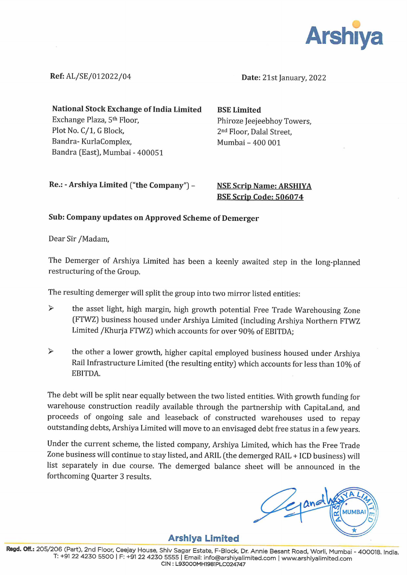

Ref: AL/SE/012022/04

Date: 21st January, 2022

National Stock Exchange of India Limited Exchange Plaza, 5<sup>th</sup> Floor, Plot No. C/1, G Block, Bandra- KurlaComplex, Bandra (East), Mumbai - 400051

BSE Limited Phiroze Jeejeebhoy Towers, 2<sup>nd</sup> Floor, Dalal Street, Mumbai - 400 001

Re.: - Arshiya Limited ("the Company") -

**NSE Scrip Name: ARSHIYA BSE Scrip Code: 506074** 

## Sub: Company updates on Approved Scheme of Demerger

Dear Sir /Madam,

The Demerger of Arshiya Limited has been a keenly awaited step in the long-planned restructuring of the Group.

The resulting demerger will split the group into two mirror listed entities:

- $\triangleright$  the asset light, high margin, high growth potential Free Trade Warehousing Zone (FTWZ) business housed under Arshiya Limited (including Arshiya Northern FTWZ Limited /Khurja FTWZ) which accounts for over 90% of EBITDA;
- $\triangleright$  the other a lower growth, higher capital employed business housed under Arshiya Rail Infrastructure Limited (the resulting entity) which accounts for less than 10% of EBITDA.

The debt will be split near equally between the two listed entities. With growth funding for warehouse construction readily available through the partnership with CapitaLand, and proceeds of ongoing sale and leaseback of constructed warehouses used to repay outstanding debts, Arshiya Limited will move to an envisaged debt free status in a few years.

Under the current scheme, the listed company, Arshiya Limited, which has the Free Trade Zone business will continue to stay listed, and ARIL (the demerged RAIL + ICD business) will list separately in due course. The demerged balance sheet will be announced in the forthcoming Quarter 3 results.

Arshiya Limited